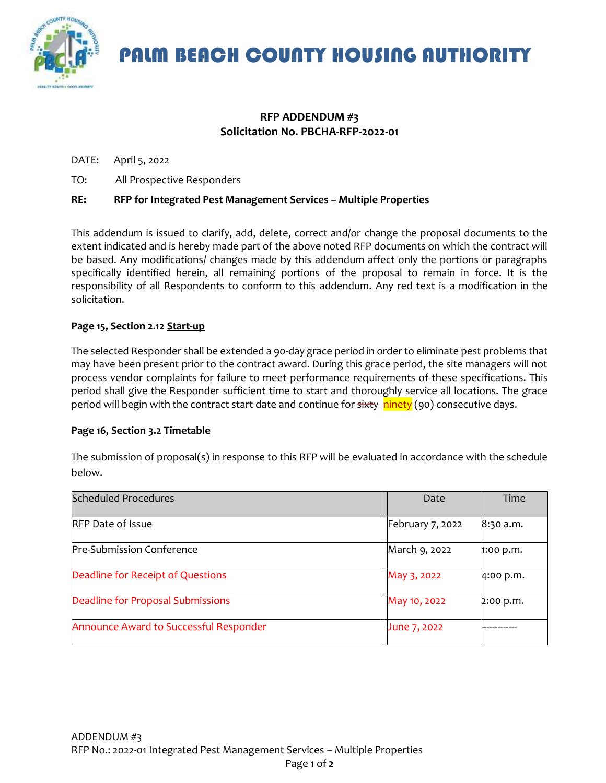

PALM BEACH COUNTY HOUSING AUTHORITY

# **RFP ADDENDUM #3 Solicitation No. PBCHA-RFP-2022-01**

DATE: April 5, 2022

TO: All Prospective Responders

# **RE: RFP for Integrated Pest Management Services – Multiple Properties**

This addendum is issued to clarify, add, delete, correct and/or change the proposal documents to the extent indicated and is hereby made part of the above noted RFP documents on which the contract will be based. Any modifications/ changes made by this addendum affect only the portions or paragraphs specifically identified herein, all remaining portions of the proposal to remain in force. It is the responsibility of all Respondents to conform to this addendum. Any red text is a modification in the solicitation.

## **Page 15, Section 2.12 Start-up**

The selected Responder shall be extended a 90-day grace period in order to eliminate pest problems that may have been present prior to the contract award. During this grace period, the site managers will not process vendor complaints for failure to meet performance requirements of these specifications. This period shall give the Responder sufficient time to start and thoroughly service all locations. The grace period will begin with the contract start date and continue for sixty ninety (90) consecutive days.

#### **Page 16, Section 3.2 Timetable**

The submission of proposal(s) in response to this RFP will be evaluated in accordance with the schedule below.

| <b>Scheduled Procedures</b>            | Date             | Time        |
|----------------------------------------|------------------|-------------|
| RFP Date of Issue                      | February 7, 2022 | 8:30 a.m.   |
| Pre-Submission Conference              | March 9, 2022    | $1:00$ p.m. |
| Deadline for Receipt of Questions      | May 3, 2022      | 4:00 p.m.   |
| Deadline for Proposal Submissions      | May 10, 2022     | 2:00 p.m.   |
| Announce Award to Successful Responder | June 7, 2022     |             |